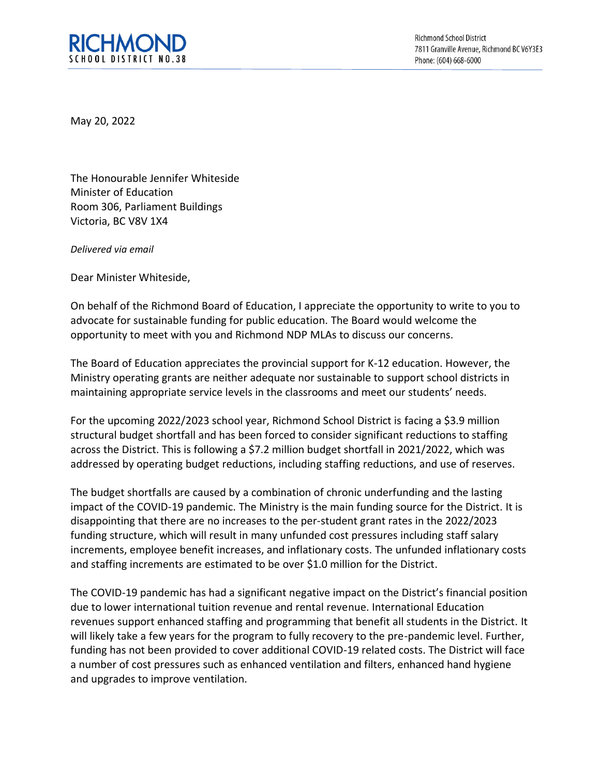

**Richmond School District** 7811 Granville Avenue, Richmond BC V6Y3E3 Phone: (604) 668-6000

May 20, 2022

The Honourable Jennifer Whiteside Minister of Education Room 306, Parliament Buildings Victoria, BC V8V 1X4

*Delivered via email*

Dear Minister Whiteside,

On behalf of the Richmond Board of Education, I appreciate the opportunity to write to you to advocate for sustainable funding for public education. The Board would welcome the opportunity to meet with you and Richmond NDP MLAs to discuss our concerns.

The Board of Education appreciates the provincial support for K-12 education. However, the Ministry operating grants are neither adequate nor sustainable to support school districts in maintaining appropriate service levels in the classrooms and meet our students' needs.

For the upcoming 2022/2023 school year, Richmond School District is facing a \$3.9 million structural budget shortfall and has been forced to consider significant reductions to staffing across the District. This is following a \$7.2 million budget shortfall in 2021/2022, which was addressed by operating budget reductions, including staffing reductions, and use of reserves.

The budget shortfalls are caused by a combination of chronic underfunding and the lasting impact of the COVID-19 pandemic. The Ministry is the main funding source for the District. It is disappointing that there are no increases to the per-student grant rates in the 2022/2023 funding structure, which will result in many unfunded cost pressures including staff salary increments, employee benefit increases, and inflationary costs. The unfunded inflationary costs and staffing increments are estimated to be over \$1.0 million for the District.

The COVID-19 pandemic has had a significant negative impact on the District's financial position due to lower international tuition revenue and rental revenue. International Education revenues support enhanced staffing and programming that benefit all students in the District. It will likely take a few years for the program to fully recovery to the pre-pandemic level. Further, funding has not been provided to cover additional COVID-19 related costs. The District will face a number of cost pressures such as enhanced ventilation and filters, enhanced hand hygiene and upgrades to improve ventilation.